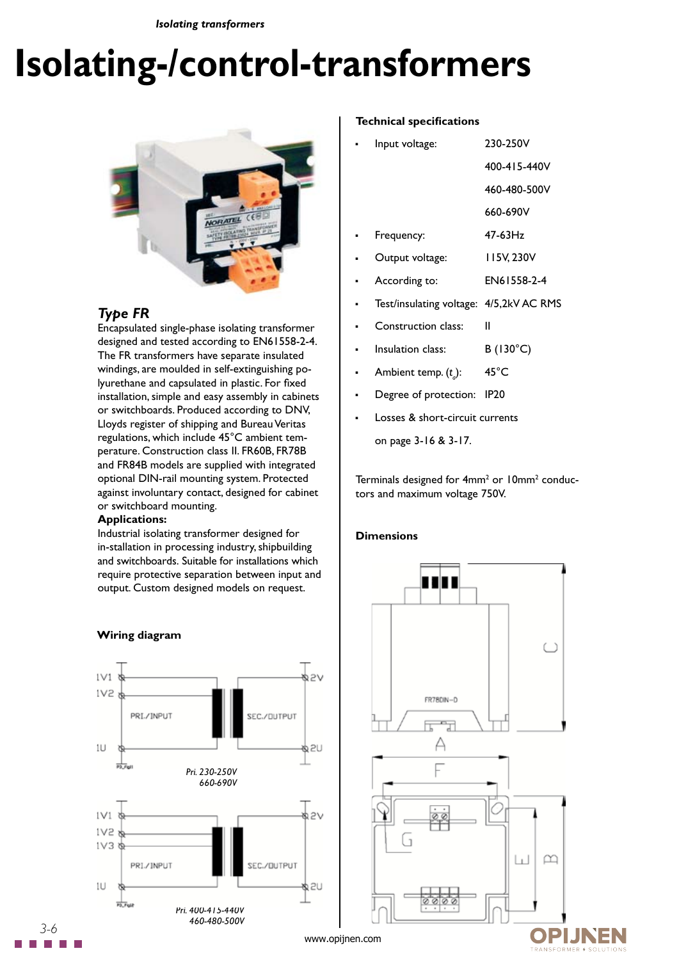*Isolating transformers*

# **Isolating-/control-transformers**



# *Type FR*

Encapsulated single-phase isolating transformer designed and tested according to EN61558-2-4. The FR transformers have separate insulated windings, are moulded in self-extinguishing polyurethane and capsulated in plastic. For fixed installation, simple and easy assembly in cabinets or switchboards. Produced according to DNV, Lloyds register of shipping and Bureau Veritas regulations, which include 45°C ambient temperature. Construction class II. FR60B, FR78B and FR84B models are supplied with integrated optional DIN-rail mounting system. Protected against involuntary contact, designed for cabinet or switchboard mounting.

#### **Applications:**

Industrial isolating transformer designed for in-stallation in processing industry, shipbuilding and switchboards. Suitable for installations which require protective separation between input and output. Custom designed models on request.



## **Wiring diagram**

#### **Technical specifications**

| ٠ | Input voltage:  | 230-250V     |
|---|-----------------|--------------|
|   |                 | 400-415-440V |
|   |                 | 460-480-500V |
|   |                 | 660-690V     |
| ٠ | Frequency:      | $47-63$ Hz   |
|   | Output voltage: | 115V, 230V   |
|   |                 |              |

- According to: EN61558-2-4
- Test/insulating voltage: 4/5,2kV AC RMS
- Construction class: II
- Insulation class: B (130°C)
- Ambient temp. (*t a* ): 45°C
- **•** Degree of protection: IP20
- Losses & short-circuit currents
	- on page 3-16 & 3-17.

Terminals designed for 4mm<sup>2</sup> or 10mm<sup>2</sup> conductors and maximum voltage 750V.

## **Dimensions**

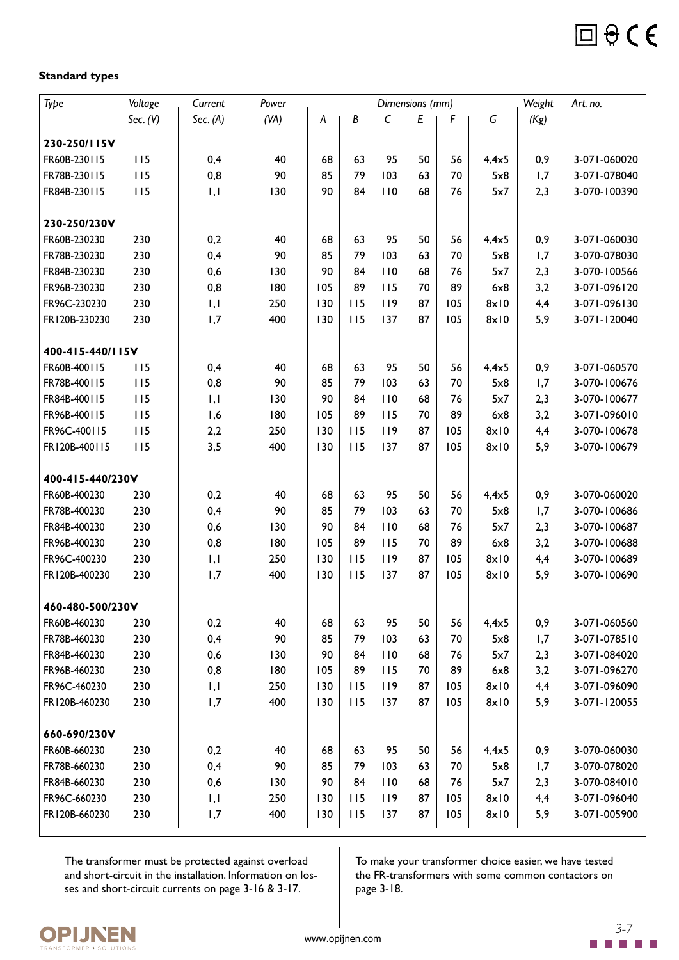

## **Standard types**

| Type             | Voltage    | Current                  | Power |     |     |              | Dimensions (mm)  |     |               | Weight | Art. no.     |
|------------------|------------|--------------------------|-------|-----|-----|--------------|------------------|-----|---------------|--------|--------------|
|                  | Sec. $(V)$ | Sec. $(A)$               | (VA)  | A   | B   | $\mathsf{C}$ | $\boldsymbol{E}$ | F   | G             | (Kg)   |              |
| 230-250/115V     |            |                          |       |     |     |              |                  |     |               |        |              |
| FR60B-230115     | 115        | 0,4                      | 40    | 68  | 63  | 95           | 50               | 56  | $4,4\times5$  | 0,9    | 3-071-060020 |
| FR78B-230115     | 115        | 0,8                      | 90    | 85  | 79  | 103          | 63               | 70  | 5x8           | 1,7    | 3-071-078040 |
| FR84B-230115     | 115        | $\mathsf{I}, \mathsf{I}$ | 130   | 90  | 84  | 110          | 68               | 76  | 5x7           | 2,3    | 3-070-100390 |
|                  |            |                          |       |     |     |              |                  |     |               |        |              |
| 230-250/230V     |            |                          |       |     |     |              |                  |     |               |        |              |
| FR60B-230230     | 230        | 0,2                      | 40    | 68  | 63  | 95           | 50               | 56  | $4,4\times5$  | 0,9    | 3-071-060030 |
| FR78B-230230     | 230        | 0,4                      | 90    | 85  | 79  | 103          | 63               | 70  | 5x8           | 1,7    | 3-070-078030 |
| FR84B-230230     | 230        | 0,6                      | 130   | 90  | 84  | 110          | 68               | 76  | 5x7           | 2,3    | 3-070-100566 |
| FR96B-230230     | 230        | 0,8                      | 180   | 105 | 89  | 115          | 70               | 89  | 6x8           | 3,2    | 3-071-096120 |
| FR96C-230230     | 230        | I, I                     | 250   | 130 | 115 | 119          | 87               | 105 | $8 \times 10$ | 4,4    | 3-071-096130 |
| FR120B-230230    | 230        | 1,7                      | 400   | 130 | 115 | 137          | 87               | 105 | $8 \times 10$ | 5,9    | 3-071-120040 |
|                  |            |                          |       |     |     |              |                  |     |               |        |              |
| 400-415-440/115V |            |                          |       |     |     |              |                  |     |               |        |              |
| FR60B-400115     | 115        | 0,4                      | 40    | 68  | 63  | 95           | 50               | 56  | $4,4\times5$  | 0,9    | 3-071-060570 |
| FR78B-400115     | 115        | 0,8                      | 90    | 85  | 79  | 103          | 63               | 70  | 5x8           | 1,7    | 3-070-100676 |
| FR84B-400115     | 115        | I, I                     | 130   | 90  | 84  | 110          | 68               | 76  | 5x7           | 2,3    | 3-070-100677 |
| FR96B-400115     | 115        | 1,6                      | 180   | 105 | 89  | 115          | 70               | 89  | 6x8           | 3,2    | 3-071-096010 |
| FR96C-400115     | 115        | 2,2                      | 250   | 130 | 115 | 119          | 87               | 105 | $8 \times 10$ | 4,4    | 3-070-100678 |
| FR120B-400115    | 115        | 3,5                      | 400   | 130 | 115 | 137          | 87               | 105 | $8 \times 10$ | 5,9    | 3-070-100679 |
|                  |            |                          |       |     |     |              |                  |     |               |        |              |
| 400-415-440/230V |            |                          |       |     |     |              |                  |     |               |        |              |
| FR60B-400230     | 230        | 0,2                      | 40    | 68  | 63  | 95           | 50               | 56  | $4,4\times5$  | 0,9    | 3-070-060020 |
| FR78B-400230     | 230        | 0,4                      | 90    | 85  | 79  | 103          | 63               | 70  | 5x8           | 1,7    | 3-070-100686 |
| FR84B-400230     | 230        | 0,6                      | 130   | 90  | 84  | 110          | 68               | 76  | 5x7           | 2,3    | 3-070-100687 |
| FR96B-400230     | 230        | 0,8                      | 180   | 105 | 89  | 115          | 70               | 89  | 6x8           | 3,2    | 3-070-100688 |
| FR96C-400230     | 230        | $\mathsf{I}, \mathsf{I}$ | 250   | 130 | 115 | 119          | 87               | 105 | 8x10          | 4,4    | 3-070-100689 |
| FR120B-400230    | 230        | 1,7                      | 400   | 130 | 115 | 137          | 87               | 105 | $8 \times 10$ | 5,9    | 3-070-100690 |
| 460-480-500/230V |            |                          |       |     |     |              |                  |     |               |        |              |
| FR60B-460230     | 230        | 0,2                      | 40    | 68  | 63  | 95           | 50               | 56  | $4,4\times5$  | 0,9    | 3-071-060560 |
| FR78B-460230     | 230        | 0,4                      | 90    | 85  | 79  | 103          | 63               | 70  | 5x8           | 1,7    | 3-071-078510 |
| FR84B-460230     | 230        | 0,6                      | 130   | 90  | 84  | 110          | 68               | 76  | 5x7           | 2,3    | 3-071-084020 |
| FR96B-460230     | 230        | 0,8                      | 180   | 105 | 89  | 115          | 70               | 89  | 6x8           | 3,2    | 3-071-096270 |
| FR96C-460230     | 230        | $\vert \vert$ , $\vert$  | 250   | 130 | 115 | 119          | 87               | 105 | $8 \times 10$ | 4,4    | 3-071-096090 |
| FR120B-460230    | 230        | 1,7                      | 400   | 130 | 115 | 137          | 87               | 105 | $8 \times 10$ | 5,9    | 3-071-120055 |
|                  |            |                          |       |     |     |              |                  |     |               |        |              |
| 660-690/230V     |            |                          |       |     |     |              |                  |     |               |        |              |
| FR60B-660230     | 230        | 0,2                      | 40    | 68  | 63  | 95           | 50               | 56  | $4,4\times5$  | 0,9    | 3-070-060030 |
| FR78B-660230     | 230        | 0,4                      | 90    | 85  | 79  | 103          | 63               | 70  | 5x8           | 1,7    | 3-070-078020 |
| FR84B-660230     | 230        | 0,6                      | 130   | 90  | 84  | 110          | 68               | 76  | 5x7           | 2,3    | 3-070-084010 |
| FR96C-660230     | 230        | $\vert \vert$ , $\vert$  | 250   | 130 | 115 | 119          | 87               | 105 | $8 \times 10$ | 4,4    | 3-071-096040 |
| FR120B-660230    | 230        | 1,7                      | 400   | 130 | 115 | 137          | 87               | 105 | $8 \times 10$ | 5,9    | 3-071-005900 |
|                  |            |                          |       |     |     |              |                  |     |               |        |              |

The transformer must be protected against overload and short-circuit in the installation. Information on losses and short-circuit currents on page 3-16 & 3-17.

To make your transformer choice easier, we have tested the FR-transformers with some common contactors on page 3-18.



*3-7*  $\Box$   $\Box$   $\Box$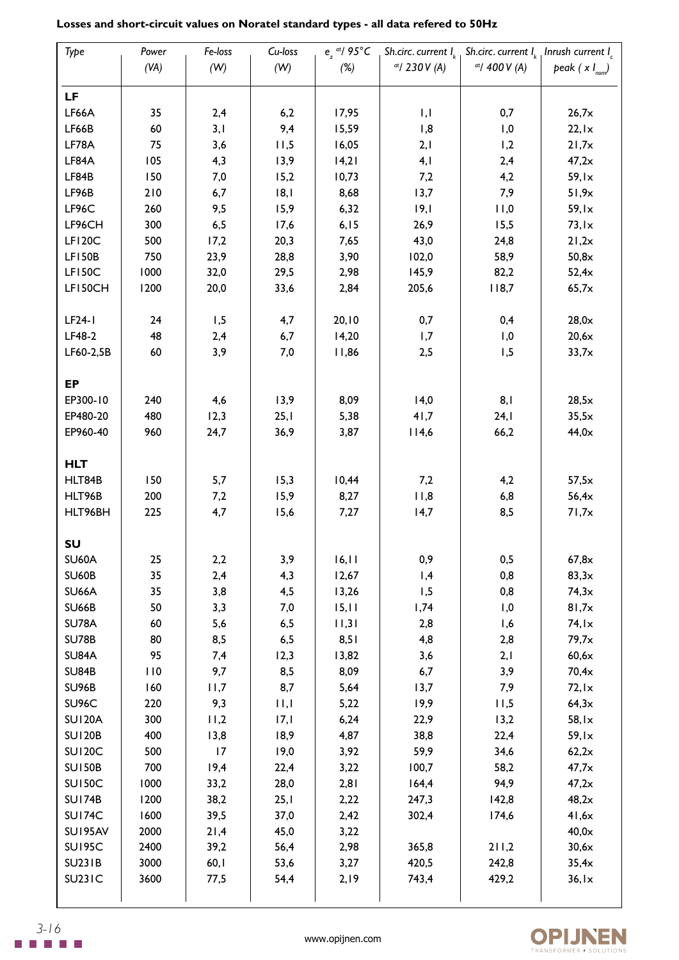| Type                 | Power | Fe-loss    | Cu-loss     | $e_{7}$ at/ 95°C |                         | Sh.circ. current $I_{k}$ Sh.circ. current $I_{k}$ Inrush current $I_{c}$ |                    |
|----------------------|-------|------------|-------------|------------------|-------------------------|--------------------------------------------------------------------------|--------------------|
|                      | (VA)  | (W)        | (W)         | (%)              | $at$ 230 V (A)          | $at/$ 400 V (A)                                                          | peak $(x I_{nom})$ |
| LF                   |       |            |             |                  |                         |                                                                          |                    |
| LF66A                | 35    | 2,4        | 6,2         | 17,95            | $\vert \vert$ , $\vert$ | 0,7                                                                      | 26,7x              |
| LF66B                | 60    | 3,1        | 9,4         | 15,59            | 1,8                     | 1,0                                                                      | 22,1x              |
| LF78A                | 75    | 3,6        | 11,5        | 16,05            | 2,1                     | 1,2                                                                      | 21,7x              |
| LF84A                | 105   | 4,3        | 13,9        | 14,21            | 4,1<br>2,4              |                                                                          | 47,2x              |
| LF84B                | 150   | 7,0        | 15,2        | 10,73            | 7,2                     | 4,2                                                                      | 59,1x              |
| LF96B                | 210   | 6,7        | 8,          | 8,68             | 13,7                    | 7,9                                                                      | 51,9x              |
| LF96C                | 260   | 9,5        | 15,9        | 6,32             | 9,                      | 11,0                                                                     | 59,1x              |
| LF96CH               | 300   | 6,5        | 17,6        | 6, 15            | 26,9                    | 15,5                                                                     | 73,1x              |
| LF120C               | 500   | 17,2       | 20,3        | 7,65             | 43,0                    | 24,8                                                                     | 21,2x              |
| <b>LF150B</b>        | 750   | 23,9       | 28,8        | 3,90             | 102,0                   | 58,9                                                                     | 50,8x              |
| <b>LF150C</b>        | 1000  | 32,0       | 29,5        | 2,98             | 145,9                   | 82,2                                                                     | 52,4x              |
| LF150CH              | 1200  | 20,0       | 33,6        | 2,84             | 205,6                   | 118,7                                                                    | 65,7x              |
|                      |       |            |             |                  |                         |                                                                          |                    |
| $LF24-I$             | 24    | 1,5        | 4,7         | 20, 10           | 0,7                     | 0,4                                                                      | 28,0x              |
| LF48-2               | 48    | 2,4        | 6,7         | 14,20            | 1,7                     | 1,0                                                                      | 20,6x              |
| LF60-2,5B            | 60    | 3,9        | 7,0         | 11,86            | 2,5                     | 1,5                                                                      | 33,7x              |
| <b>EP</b>            |       |            |             |                  |                         |                                                                          |                    |
| EP300-10             | 240   | 4,6        | 13,9        | 8,09             | 14,0                    | 8,1                                                                      | 28,5x              |
| EP480-20             | 480   | 12,3       | 25,1        | 5,38             | 41,7                    | 24,1                                                                     | 35,5x              |
| EP960-40             | 960   | 24,7       | 36,9        | 3,87             | 114,6                   | 66,2                                                                     | 44,0x              |
|                      |       |            |             |                  |                         |                                                                          |                    |
| <b>HLT</b><br>HLT84B | 150   | 5,7        | 15,3        | 10,44            | 7,2                     | 4,2                                                                      | 57,5x              |
| HLT96B               | 200   |            | 15,9        | 8,27             | 11,8                    | 6,8                                                                      | 56,4x              |
| HLT96BH              | 225   | 7,2<br>4,7 | 15,6        | 7,27             | 14,7                    | 8,5                                                                      | 71,7x              |
|                      |       |            |             |                  |                         |                                                                          |                    |
| SU                   |       |            |             |                  |                         |                                                                          |                    |
| <b>SU60A</b>         | 25    | 2,2        | 3,9         | 16, 11           | 0,9                     | 0, 5                                                                     | $67,\!8\times$     |
| <b>SU60B</b>         | 35    | 2,4        | 4,3         | 12,67            | 1,4                     | 0,8                                                                      | 83,3x              |
| <b>SU66A</b>         | 35    | 3,8        | 4,5         | 13,26            | 1,5                     | 0,8                                                                      | 74,3x              |
| <b>SU66B</b>         | 50    | 3,3        | 7,0         | 15,11            | 1,74                    | 1,0                                                                      | 81,7x              |
| SU78A                | 60    | 5,6        | 6,5         | 1,3              | 2,8                     | 1,6                                                                      | 74,1x              |
| <b>SU78B</b>         | 80    | 8,5        | 6,5         | 8,51             | 4,8                     | 2,8                                                                      | 79,7x              |
| <b>SU84A</b>         | 95    | 7,4        | 12,3        | 13,82            | 3,6                     | 2,1                                                                      | 60,6x              |
| <b>SU84B</b>         | 110   | 9,7        | 8,5         | 8,09             | 6,7                     | 3,9                                                                      | 70,4x              |
| <b>SU96B</b>         | 160   | 11,7       | 8,7         | 5,64             | 13,7                    | 7,9                                                                      | 72,1x              |
| SU96C                | 220   | 9,3        | $  \cdot  $ | 5,22             | 19,9                    | 11,5                                                                     | 64,3x              |
| <b>SU120A</b>        | 300   | 11,2       | 17,1        | 6,24             | 22,9                    | 13,2                                                                     | $58,1\times$       |
| <b>SU120B</b>        | 400   | 13,8       | 18,9        | 4,87             | 38,8                    | 22,4                                                                     | 59,1x              |
| <b>SU120C</b>        | 500   | 17         | 19,0        | 3,92             | 59,9                    | 34,6                                                                     | 62,2x              |
| <b>SU150B</b>        | 700   | 19,4       | 22,4        | 3,22             | 100,7                   | 58,2                                                                     | 47,7x              |
| <b>SU150C</b>        | 1000  | 33,2       | 28,0        | 2,81             | 164,4                   | 94,9                                                                     | 47,2x              |
| <b>SU174B</b>        | 1200  | 38,2       | 25,1        | 2,22             | 247,3                   | 142,8                                                                    | 48,2x              |
| <b>SU174C</b>        | 1600  | 39,5       | 37,0        | 2,42             | 302,4                   | 174,6                                                                    | 41,6x              |
| SU195AV              | 2000  | 21,4       | 45,0        | 3,22             |                         |                                                                          | 40,0x              |
| <b>SU195C</b>        | 2400  | 39,2       | 56,4        | 2,98             | 365,8                   | 211,2                                                                    | 30,6x              |
| <b>SU231B</b>        | 3000  | 60,1       | 53,6        | 3,27             | 420,5                   | 242,8                                                                    | 35,4x              |
| <b>SU231C</b>        | 3600  | 77,5       | 54,4        | 2,19             | 743,4                   | 429,2                                                                    | 36,1x              |
|                      |       |            |             |                  |                         |                                                                          |                    |

# **Losses and short-circuit values on Noratel standard types - all data refered to 50Hz**